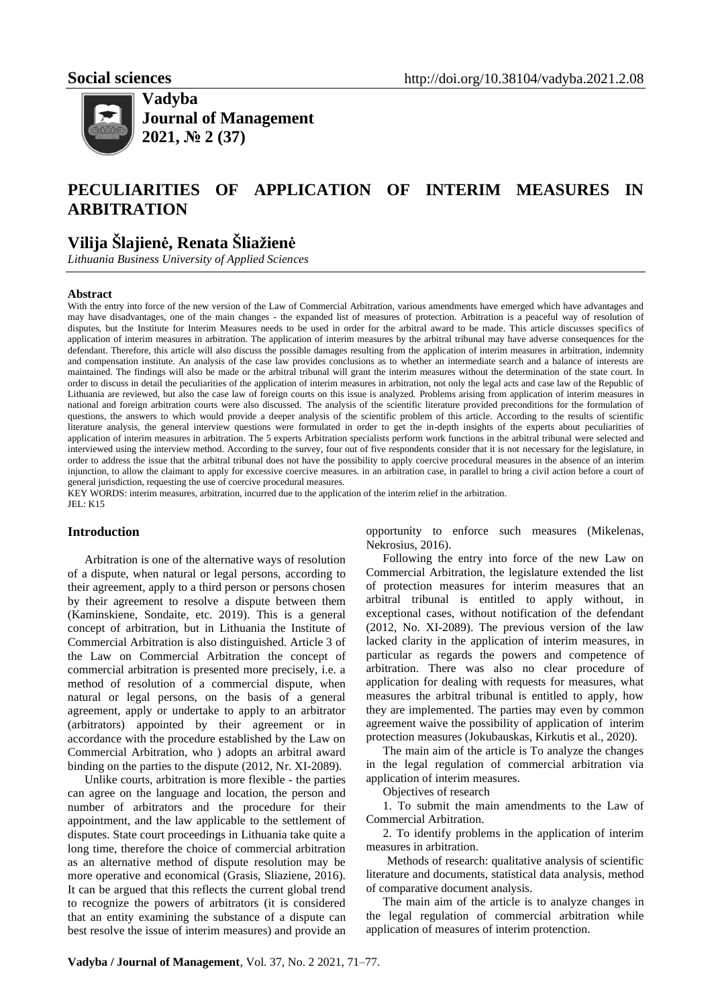

**Vadyba Journal of Management 2021, № 2 (37)**

# **PECULIARITIES OF APPLICATION OF INTERIM MEASURES IN ARBITRATION**

## **Vilija Šlajienė, Renata Šliažienė**

*Lithuania Business University of Applied Sciences*

#### **Abstract**

With the entry into force of the new version of the Law of Commercial Arbitration, various amendments have emerged which have advantages and may have disadvantages, one of the main changes - the expanded list of measures of protection. Arbitration is a peaceful way of resolution of disputes, but the Institute for Interim Measures needs to be used in order for the arbitral award to be made. This article discusses specifics of application of interim measures in arbitration. The application of interim measures by the arbitral tribunal may have adverse consequences for the defendant. Therefore, this article will also discuss the possible damages resulting from the application of interim measures in arbitration, indemnity and compensation institute. An analysis of the case law provides conclusions as to whether an intermediate search and a balance of interests are maintained. The findings will also be made or the arbitral tribunal will grant the interim measures without the determination of the state court. In order to discuss in detail the peculiarities of the application of interim measures in arbitration, not only the legal acts and case law of the Republic of Lithuania are reviewed, but also the case law of foreign courts on this issue is analyzed. Problems arising from application of interim measures in national and foreign arbitration courts were also discussed. The analysis of the scientific literature provided preconditions for the formulation of questions, the answers to which would provide a deeper analysis of the scientific problem of this article. According to the results of scientific literature analysis, the general interview questions were formulated in order to get the in-depth insights of the experts about peculiarities of application of interim measures in arbitration. The 5 experts Arbitration specialists perform work functions in the arbitral tribunal were selected and interviewed using the interview method. According to the survey, four out of five respondents consider that it is not necessary for the legislature, in order to address the issue that the arbitral tribunal does not have the possibility to apply coercive procedural measures in the absence of an interim injunction, to allow the claimant to apply for excessive coercive measures. in an arbitration case, in parallel to bring a civil action before a court of general jurisdiction, requesting the use of coercive procedural measures.

KEY WORDS: interim measures, arbitration, incurred due to the application of the interim relief in the arbitration.

## JEL: K15

#### **Introduction**

Arbitration is one of the alternative ways of resolution of a dispute, when natural or legal persons, according to their agreement, apply to a third person or persons chosen by their agreement to resolve a dispute between them (Kaminskiene, Sondaite, etc. 2019). This is a general concept of arbitration, but in Lithuania the Institute of Commercial Arbitration is also distinguished. Article 3 of the Law on Commercial Arbitration the concept of commercial arbitration is presented more precisely, i.e. a method of resolution of a commercial dispute, when natural or legal persons, on the basis of a general agreement, apply or undertake to apply to an arbitrator (arbitrators) appointed by their agreement or in accordance with the procedure established by the Law on Commercial Arbitration, who ) adopts an arbitral award binding on the parties to the dispute (2012, Nr. XI-2089).

Unlike courts, arbitration is more flexible - the parties can agree on the language and location, the person and number of arbitrators and the procedure for their appointment, and the law applicable to the settlement of disputes. State court proceedings in Lithuania take quite a long time, therefore the choice of commercial arbitration as an alternative method of dispute resolution may be more operative and economical (Grasis, Sliaziene, 2016). It can be argued that this reflects the current global trend to recognize the powers of arbitrators (it is considered that an entity examining the substance of a dispute can best resolve the issue of interim measures) and provide an opportunity to enforce such measures (Mikelenas, Nekrosius, 2016).

Following the entry into force of the new Law on Commercial Arbitration, the legislature extended the list of protection measures for interim measures that an arbitral tribunal is entitled to apply without, in exceptional cases, without notification of the defendant (2012, No. XI-2089). The previous version of the law lacked clarity in the application of interim measures, in particular as regards the powers and competence of arbitration. There was also no clear procedure of application for dealing with requests for measures, what measures the arbitral tribunal is entitled to apply, how they are implemented. The parties may even by common agreement waive the possibility of application of interim protection measures (Jokubauskas, Kirkutis et al., 2020).

The main aim of the article is To analyze the changes in the legal regulation of commercial arbitration via application of interim measures.

Objectives of research

1. To submit the main amendments to the Law of Commercial Arbitration.

2. To identify problems in the application of interim measures in arbitration.

 Methods of research: qualitative analysis of scientific literature and documents, statistical data analysis, method of comparative document analysis.

The main aim of the article is to analyze changes in the legal regulation of commercial arbitration while application of measures of interim protenction.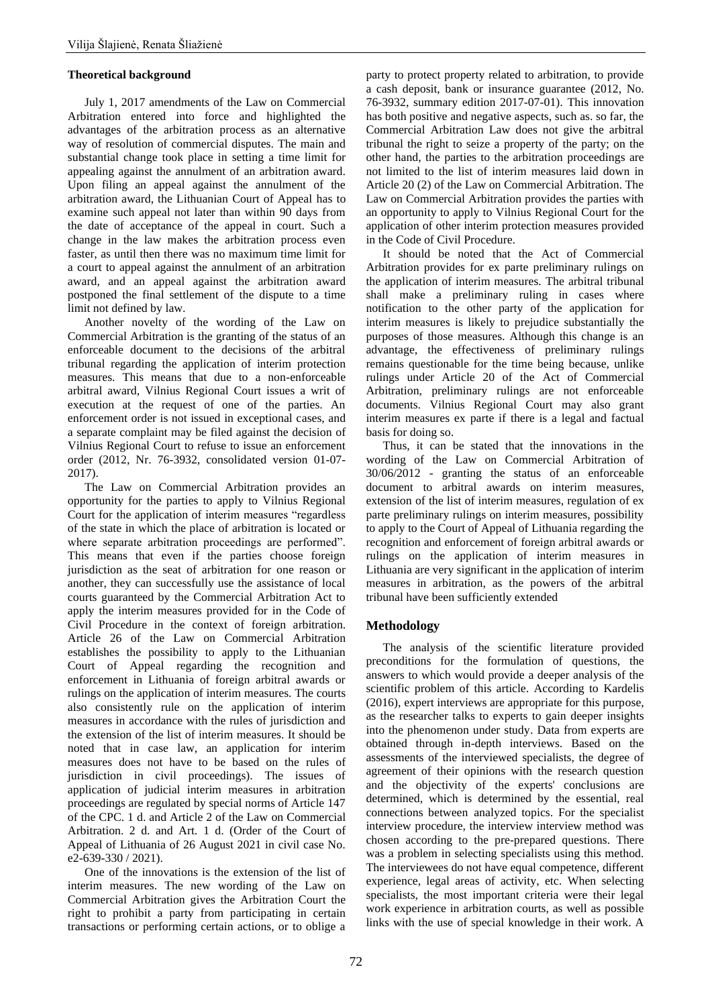#### **Theoretical background**

July 1, 2017 amendments of the Law on Commercial Arbitration entered into force and highlighted the advantages of the arbitration process as an alternative way of resolution of commercial disputes. The main and substantial change took place in setting a time limit for appealing against the annulment of an arbitration award. Upon filing an appeal against the annulment of the arbitration award, the Lithuanian Court of Appeal has to examine such appeal not later than within 90 days from the date of acceptance of the appeal in court. Such a change in the law makes the arbitration process even faster, as until then there was no maximum time limit for a court to appeal against the annulment of an arbitration award, and an appeal against the arbitration award postponed the final settlement of the dispute to a time limit not defined by law.

Another novelty of the wording of the Law on Commercial Arbitration is the granting of the status of an enforceable document to the decisions of the arbitral tribunal regarding the application of interim protection measures. This means that due to a non-enforceable arbitral award, Vilnius Regional Court issues a writ of execution at the request of one of the parties. An enforcement order is not issued in exceptional cases, and a separate complaint may be filed against the decision of Vilnius Regional Court to refuse to issue an enforcement order (2012, Nr. 76-3932, consolidated version 01-07- 2017).

The Law on Commercial Arbitration provides an opportunity for the parties to apply to Vilnius Regional Court for the application of interim measures "regardless of the state in which the place of arbitration is located or where separate arbitration proceedings are performed". This means that even if the parties choose foreign jurisdiction as the seat of arbitration for one reason or another, they can successfully use the assistance of local courts guaranteed by the Commercial Arbitration Act to apply the interim measures provided for in the Code of Civil Procedure in the context of foreign arbitration. Article 26 of the Law on Commercial Arbitration establishes the possibility to apply to the Lithuanian Court of Appeal regarding the recognition and enforcement in Lithuania of foreign arbitral awards or rulings on the application of interim measures. The courts also consistently rule on the application of interim measures in accordance with the rules of jurisdiction and the extension of the list of interim measures. It should be noted that in case law, an application for interim measures does not have to be based on the rules of jurisdiction in civil proceedings). The issues of application of judicial interim measures in arbitration proceedings are regulated by special norms of Article 147 of the CPC. 1 d. and Article 2 of the Law on Commercial Arbitration. 2 d. and Art. 1 d. (Order of the Court of Appeal of Lithuania of 26 August 2021 in civil case No. e2-639-330 / 2021).

One of the innovations is the extension of the list of interim measures. The new wording of the Law on Commercial Arbitration gives the Arbitration Court the right to prohibit a party from participating in certain transactions or performing certain actions, or to oblige a

party to protect property related to arbitration, to provide a cash deposit, bank or insurance guarantee (2012, No. 76-3932, summary edition 2017-07-01). This innovation has both positive and negative aspects, such as. so far, the Commercial Arbitration Law does not give the arbitral tribunal the right to seize a property of the party; on the other hand, the parties to the arbitration proceedings are not limited to the list of interim measures laid down in Article 20 (2) of the Law on Commercial Arbitration. The Law on Commercial Arbitration provides the parties with an opportunity to apply to Vilnius Regional Court for the application of other interim protection measures provided in the Code of Civil Procedure.

It should be noted that the Act of Commercial Arbitration provides for ex parte preliminary rulings on the application of interim measures. The arbitral tribunal shall make a preliminary ruling in cases where notification to the other party of the application for interim measures is likely to prejudice substantially the purposes of those measures. Although this change is an advantage, the effectiveness of preliminary rulings remains questionable for the time being because, unlike rulings under Article 20 of the Act of Commercial Arbitration, preliminary rulings are not enforceable documents. Vilnius Regional Court may also grant interim measures ex parte if there is a legal and factual basis for doing so.

Thus, it can be stated that the innovations in the wording of the Law on Commercial Arbitration of 30/06/2012 - granting the status of an enforceable document to arbitral awards on interim measures, extension of the list of interim measures, regulation of ex parte preliminary rulings on interim measures, possibility to apply to the Court of Appeal of Lithuania regarding the recognition and enforcement of foreign arbitral awards or rulings on the application of interim measures in Lithuania are very significant in the application of interim measures in arbitration, as the powers of the arbitral tribunal have been sufficiently extended

#### **Methodology**

The analysis of the scientific literature provided preconditions for the formulation of questions, the answers to which would provide a deeper analysis of the scientific problem of this article. According to Kardelis (2016), expert interviews are appropriate for this purpose, as the researcher talks to experts to gain deeper insights into the phenomenon under study. Data from experts are obtained through in-depth interviews. Based on the assessments of the interviewed specialists, the degree of agreement of their opinions with the research question and the objectivity of the experts' conclusions are determined, which is determined by the essential, real connections between analyzed topics. For the specialist interview procedure, the interview interview method was chosen according to the pre-prepared questions. There was a problem in selecting specialists using this method. The interviewees do not have equal competence, different experience, legal areas of activity, etc. When selecting specialists, the most important criteria were their legal work experience in arbitration courts, as well as possible links with the use of special knowledge in their work. A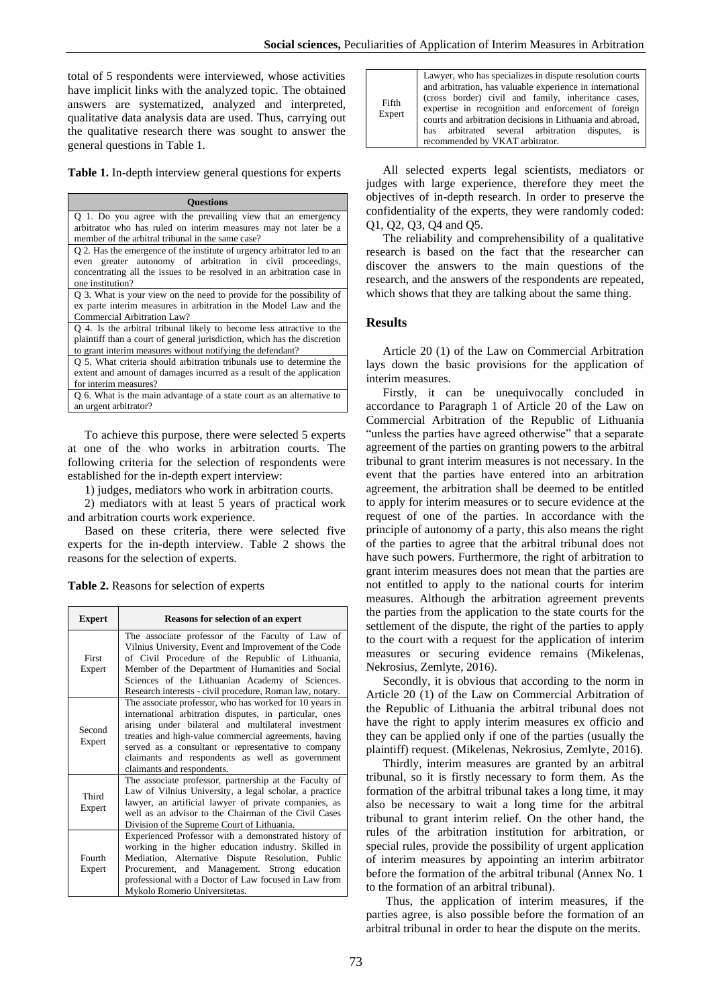total of 5 respondents were interviewed, whose activities have implicit links with the analyzed topic. The obtained answers are systematized, analyzed and interpreted, qualitative data analysis data are used. Thus, carrying out the qualitative research there was sought to answer the general questions in Table 1.

**Table 1.** In-depth interview general questions for experts

| <b>Ouestions</b>                                                                                                                                                                                                                   |  |
|------------------------------------------------------------------------------------------------------------------------------------------------------------------------------------------------------------------------------------|--|
| Q 1. Do you agree with the prevailing view that an emergency<br>arbitrator who has ruled on interim measures may not later be a<br>member of the arbitral tribunal in the same case?                                               |  |
| Q 2. Has the emergence of the institute of urgency arbitrator led to an<br>even greater autonomy of arbitration in civil proceedings,<br>concentrating all the issues to be resolved in an arbitration case in<br>one institution? |  |
| Q 3. What is your view on the need to provide for the possibility of<br>ex parte interim measures in arbitration in the Model Law and the<br>Commercial Arbitration Law?                                                           |  |
| Q 4. Is the arbitral tribunal likely to become less attractive to the<br>plaintiff than a court of general jurisdiction, which has the discretion<br>to grant interim measures without notifying the defendant?                    |  |
| Q 5. What criteria should arbitration tribunals use to determine the<br>extent and amount of damages incurred as a result of the application<br>for interim measures?                                                              |  |
| Q 6. What is the main advantage of a state court as an alternative to<br>an urgent arbitrator?                                                                                                                                     |  |

To achieve this purpose, there were selected 5 experts at one of the who works in arbitration courts. The following criteria for the selection of respondents were established for the in-depth expert interview:

1) judges, mediators who work in arbitration courts.

2) mediators with at least 5 years of practical work and arbitration courts work experience.

Based on these criteria, there were selected five experts for the in-depth interview. Table 2 shows the reasons for the selection of experts.

**Table 2.** Reasons for selection of experts

| <b>Expert</b>    | <b>Reasons for selection of an expert</b>                                                                                                                                                                                                                                                                                                                                  |
|------------------|----------------------------------------------------------------------------------------------------------------------------------------------------------------------------------------------------------------------------------------------------------------------------------------------------------------------------------------------------------------------------|
| First<br>Expert  | The associate professor of the Faculty of Law of<br>Vilnius University, Event and Improvement of the Code<br>of Civil Procedure of the Republic of Lithuania,<br>Member of the Department of Humanities and Social<br>Sciences of the Lithuanian Academy of Sciences.<br>Research interests - civil procedure, Roman law, notary.                                          |
| Second<br>Expert | The associate professor, who has worked for 10 years in<br>international arbitration disputes, in particular, ones<br>arising under bilateral and multilateral investment<br>treaties and high-value commercial agreements, having<br>served as a consultant or representative to company<br>claimants and respondents as well as government<br>claimants and respondents. |
| Third<br>Expert  | The associate professor, partnership at the Faculty of<br>Law of Vilnius University, a legal scholar, a practice<br>lawyer, an artificial lawyer of private companies, as<br>well as an advisor to the Chairman of the Civil Cases<br>Division of the Supreme Court of Lithuania.                                                                                          |
| Fourth<br>Expert | Experienced Professor with a demonstrated history of<br>working in the higher education industry. Skilled in<br>Mediation, Alternative Dispute Resolution, Public<br>Procurement, and Management. Strong education<br>professional with a Doctor of Law focused in Law from<br>Mykolo Romerio Universitetas.                                                               |

| Fifth<br>Expert | Lawyer, who has specializes in dispute resolution courts<br>and arbitration, has valuable experience in international<br>(cross border) civil and family, inheritance cases,<br>expertise in recognition and enforcement of foreign<br>courts and arbitration decisions in Lithuania and abroad,<br>has arbitrated several arbitration disputes, is<br>recommended by VKAT arbitrator. |
|-----------------|----------------------------------------------------------------------------------------------------------------------------------------------------------------------------------------------------------------------------------------------------------------------------------------------------------------------------------------------------------------------------------------|
|-----------------|----------------------------------------------------------------------------------------------------------------------------------------------------------------------------------------------------------------------------------------------------------------------------------------------------------------------------------------------------------------------------------------|

All selected experts legal scientists, mediators or judges with large experience, therefore they meet the objectives of in-depth research. In order to preserve the confidentiality of the experts, they were randomly coded: Q1, Q2, Q3, Q4 and Q5.

The reliability and comprehensibility of a qualitative research is based on the fact that the researcher can discover the answers to the main questions of the research, and the answers of the respondents are repeated, which shows that they are talking about the same thing.

#### **Results**

Article 20 (1) of the Law on Commercial Arbitration lays down the basic provisions for the application of interim measures.

Firstly, it can be unequivocally concluded in accordance to Paragraph 1 of Article 20 of the Law on Commercial Arbitration of the Republic of Lithuania "unless the parties have agreed otherwise" that a separate agreement of the parties on granting powers to the arbitral tribunal to grant interim measures is not necessary. In the event that the parties have entered into an arbitration agreement, the arbitration shall be deemed to be entitled to apply for interim measures or to secure evidence at the request of one of the parties. In accordance with the principle of autonomy of a party, this also means the right of the parties to agree that the arbitral tribunal does not have such powers. Furthermore, the right of arbitration to grant interim measures does not mean that the parties are not entitled to apply to the national courts for interim measures. Although the arbitration agreement prevents the parties from the application to the state courts for the settlement of the dispute, the right of the parties to apply to the court with a request for the application of interim measures or securing evidence remains (Mikelenas, Nekrosius, Zemlyte, 2016).

Secondly, it is obvious that according to the norm in Article 20 (1) of the Law on Commercial Arbitration of the Republic of Lithuania the arbitral tribunal does not have the right to apply interim measures ex officio and they can be applied only if one of the parties (usually the plaintiff) request. (Mikelenas, Nekrosius, Zemlyte, 2016).

Thirdly, interim measures are granted by an arbitral tribunal, so it is firstly necessary to form them. As the formation of the arbitral tribunal takes a long time, it may also be necessary to wait a long time for the arbitral tribunal to grant interim relief. On the other hand, the rules of the arbitration institution for arbitration, or special rules, provide the possibility of urgent application of interim measures by appointing an interim arbitrator before the formation of the arbitral tribunal (Annex No. 1 to the formation of an arbitral tribunal).

Thus, the application of interim measures, if the parties agree, is also possible before the formation of an arbitral tribunal in order to hear the dispute on the merits.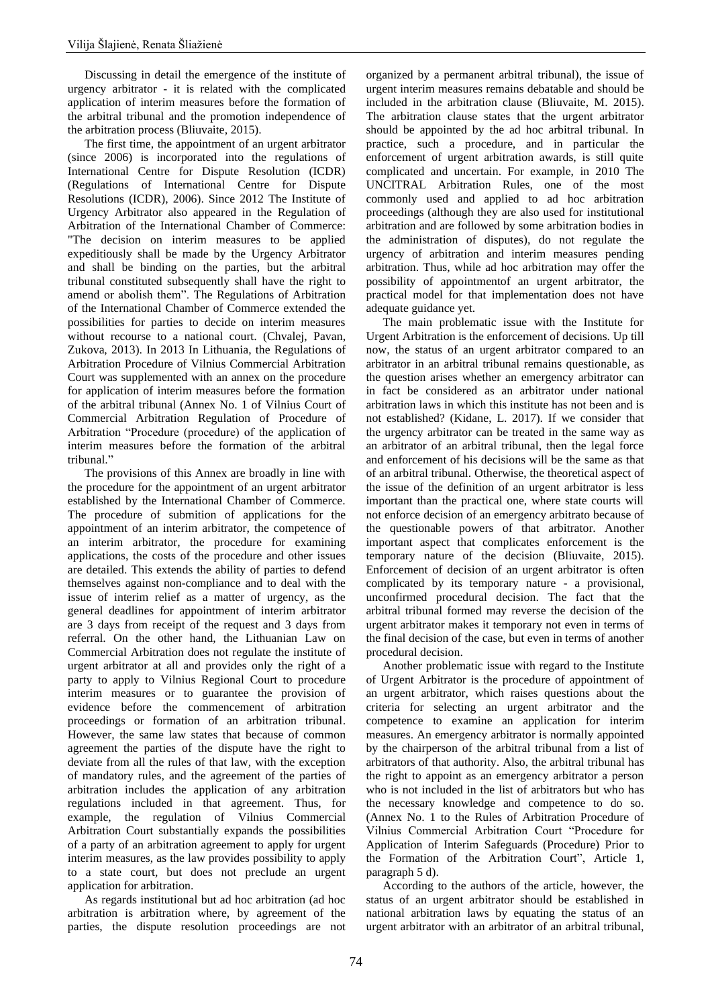Discussing in detail the emergence of the institute of urgency arbitrator - it is related with the complicated application of interim measures before the formation of the arbitral tribunal and the promotion independence of the arbitration process (Bliuvaite, 2015).

The first time, the appointment of an urgent arbitrator (since 2006) is incorporated into the regulations of International Centre for Dispute Resolution (ICDR) (Regulations of International Centre for Dispute Resolutions (ICDR), 2006). Since 2012 The Institute of Urgency Arbitrator also appeared in the Regulation of Arbitration of the International Chamber of Commerce: "The decision on interim measures to be applied expeditiously shall be made by the Urgency Arbitrator and shall be binding on the parties, but the arbitral tribunal constituted subsequently shall have the right to amend or abolish them". The Regulations of Arbitration of the International Chamber of Commerce extended the possibilities for parties to decide on interim measures without recourse to a national court. (Chvalej, Pavan, Zukova, 2013). In 2013 In Lithuania, the Regulations of Arbitration Procedure of Vilnius Commercial Arbitration Court was supplemented with an annex on the procedure for application of interim measures before the formation of the arbitral tribunal (Annex No. 1 of Vilnius Court of Commercial Arbitration Regulation of Procedure of Arbitration "Procedure (procedure) of the application of interim measures before the formation of the arbitral tribunal."

The provisions of this Annex are broadly in line with the procedure for the appointment of an urgent arbitrator established by the International Chamber of Commerce. The procedure of submition of applications for the appointment of an interim arbitrator, the competence of an interim arbitrator, the procedure for examining applications, the costs of the procedure and other issues are detailed. This extends the ability of parties to defend themselves against non-compliance and to deal with the issue of interim relief as a matter of urgency, as the general deadlines for appointment of interim arbitrator are 3 days from receipt of the request and 3 days from referral. On the other hand, the Lithuanian Law on Commercial Arbitration does not regulate the institute of urgent arbitrator at all and provides only the right of a party to apply to Vilnius Regional Court to procedure interim measures or to guarantee the provision of evidence before the commencement of arbitration proceedings or formation of an arbitration tribunal. However, the same law states that because of common agreement the parties of the dispute have the right to deviate from all the rules of that law, with the exception of mandatory rules, and the agreement of the parties of arbitration includes the application of any arbitration regulations included in that agreement. Thus, for example, the regulation of Vilnius Commercial Arbitration Court substantially expands the possibilities of a party of an arbitration agreement to apply for urgent interim measures, as the law provides possibility to apply to a state court, but does not preclude an urgent application for arbitration.

As regards institutional but ad hoc arbitration (ad hoc arbitration is arbitration where, by agreement of the parties, the dispute resolution proceedings are not organized by a permanent arbitral tribunal), the issue of urgent interim measures remains debatable and should be included in the arbitration clause (Bliuvaite, M. 2015). The arbitration clause states that the urgent arbitrator should be appointed by the ad hoc arbitral tribunal. In practice, such a procedure, and in particular the enforcement of urgent arbitration awards, is still quite complicated and uncertain. For example, in 2010 The UNCITRAL Arbitration Rules, one of the most commonly used and applied to ad hoc arbitration proceedings (although they are also used for institutional arbitration and are followed by some arbitration bodies in the administration of disputes), do not regulate the urgency of arbitration and interim measures pending arbitration. Thus, while ad hoc arbitration may offer the possibility of appointmentof an urgent arbitrator, the practical model for that implementation does not have adequate guidance yet.

The main problematic issue with the Institute for Urgent Arbitration is the enforcement of decisions. Up till now, the status of an urgent arbitrator compared to an arbitrator in an arbitral tribunal remains questionable, as the question arises whether an emergency arbitrator can in fact be considered as an arbitrator under national arbitration laws in which this institute has not been and is not established? (Kidane, L. 2017). If we consider that the urgency arbitrator can be treated in the same way as an arbitrator of an arbitral tribunal, then the legal force and enforcement of his decisions will be the same as that of an arbitral tribunal. Otherwise, the theoretical aspect of the issue of the definition of an urgent arbitrator is less important than the practical one, where state courts will not enforce decision of an emergency arbitrato because of the questionable powers of that arbitrator. Another important aspect that complicates enforcement is the temporary nature of the decision (Bliuvaite, 2015). Enforcement of decision of an urgent arbitrator is often complicated by its temporary nature - a provisional, unconfirmed procedural decision. The fact that the arbitral tribunal formed may reverse the decision of the urgent arbitrator makes it temporary not even in terms of the final decision of the case, but even in terms of another procedural decision.

Another problematic issue with regard to the Institute of Urgent Arbitrator is the procedure of appointment of an urgent arbitrator, which raises questions about the criteria for selecting an urgent arbitrator and the competence to examine an application for interim measures. An emergency arbitrator is normally appointed by the chairperson of the arbitral tribunal from a list of arbitrators of that authority. Also, the arbitral tribunal has the right to appoint as an emergency arbitrator a person who is not included in the list of arbitrators but who has the necessary knowledge and competence to do so. (Annex No. 1 to the Rules of Arbitration Procedure of Vilnius Commercial Arbitration Court "Procedure for Application of Interim Safeguards (Procedure) Prior to the Formation of the Arbitration Court", Article 1, paragraph 5 d).

According to the authors of the article, however, the status of an urgent arbitrator should be established in national arbitration laws by equating the status of an urgent arbitrator with an arbitrator of an arbitral tribunal,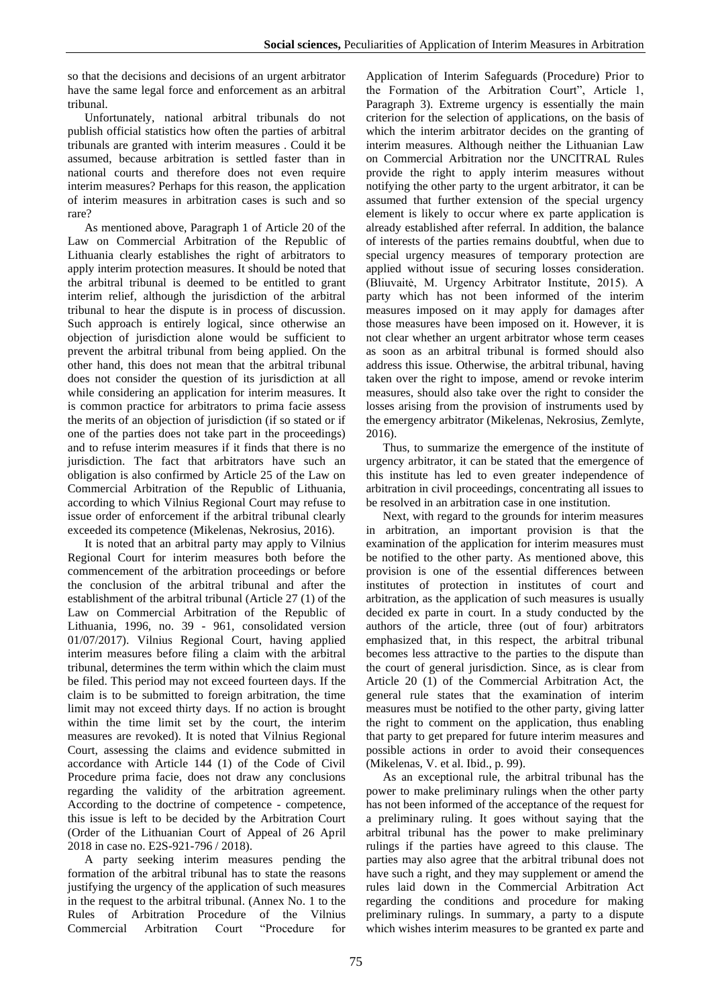so that the decisions and decisions of an urgent arbitrator have the same legal force and enforcement as an arbitral tribunal.

Unfortunately, national arbitral tribunals do not publish official statistics how often the parties of arbitral tribunals are granted with interim measures . Could it be assumed, because arbitration is settled faster than in national courts and therefore does not even require interim measures? Perhaps for this reason, the application of interim measures in arbitration cases is such and so rare?

As mentioned above, Paragraph 1 of Article 20 of the Law on Commercial Arbitration of the Republic of Lithuania clearly establishes the right of arbitrators to apply interim protection measures. It should be noted that the arbitral tribunal is deemed to be entitled to grant interim relief, although the jurisdiction of the arbitral tribunal to hear the dispute is in process of discussion. Such approach is entirely logical, since otherwise an objection of jurisdiction alone would be sufficient to prevent the arbitral tribunal from being applied. On the other hand, this does not mean that the arbitral tribunal does not consider the question of its jurisdiction at all while considering an application for interim measures. It is common practice for arbitrators to prima facie assess the merits of an objection of jurisdiction (if so stated or if one of the parties does not take part in the proceedings) and to refuse interim measures if it finds that there is no jurisdiction. The fact that arbitrators have such an obligation is also confirmed by Article 25 of the Law on Commercial Arbitration of the Republic of Lithuania, according to which Vilnius Regional Court may refuse to issue order of enforcement if the arbitral tribunal clearly exceeded its competence (Mikelenas, Nekrosius, 2016).

It is noted that an arbitral party may apply to Vilnius Regional Court for interim measures both before the commencement of the arbitration proceedings or before the conclusion of the arbitral tribunal and after the establishment of the arbitral tribunal (Article 27 (1) of the Law on Commercial Arbitration of the Republic of Lithuania, 1996, no. 39 - 961, consolidated version 01/07/2017). Vilnius Regional Court, having applied interim measures before filing a claim with the arbitral tribunal, determines the term within which the claim must be filed. This period may not exceed fourteen days. If the claim is to be submitted to foreign arbitration, the time limit may not exceed thirty days. If no action is brought within the time limit set by the court, the interim measures are revoked). It is noted that Vilnius Regional Court, assessing the claims and evidence submitted in accordance with Article 144 (1) of the Code of Civil Procedure prima facie, does not draw any conclusions regarding the validity of the arbitration agreement. According to the doctrine of competence - competence, this issue is left to be decided by the Arbitration Court (Order of the Lithuanian Court of Appeal of 26 April 2018 in case no. E2S-921-796 / 2018).

A party seeking interim measures pending the formation of the arbitral tribunal has to state the reasons justifying the urgency of the application of such measures in the request to the arbitral tribunal. (Annex No. 1 to the Rules of Arbitration Procedure of the Vilnius Commercial Arbitration Court "Procedure for

Application of Interim Safeguards (Procedure) Prior to the Formation of the Arbitration Court", Article 1, Paragraph 3). Extreme urgency is essentially the main criterion for the selection of applications, on the basis of which the interim arbitrator decides on the granting of interim measures. Although neither the Lithuanian Law on Commercial Arbitration nor the UNCITRAL Rules provide the right to apply interim measures without notifying the other party to the urgent arbitrator, it can be assumed that further extension of the special urgency element is likely to occur where ex parte application is already established after referral. In addition, the balance of interests of the parties remains doubtful, when due to special urgency measures of temporary protection are applied without issue of securing losses consideration. (Bliuvaitė, M. Urgency Arbitrator Institute, 2015). A party which has not been informed of the interim measures imposed on it may apply for damages after those measures have been imposed on it. However, it is not clear whether an urgent arbitrator whose term ceases as soon as an arbitral tribunal is formed should also address this issue. Otherwise, the arbitral tribunal, having taken over the right to impose, amend or revoke interim measures, should also take over the right to consider the losses arising from the provision of instruments used by the emergency arbitrator (Mikelenas, Nekrosius, Zemlyte, 2016).

Thus, to summarize the emergence of the institute of urgency arbitrator, it can be stated that the emergence of this institute has led to even greater independence of arbitration in civil proceedings, concentrating all issues to be resolved in an arbitration case in one institution.

Next, with regard to the grounds for interim measures in arbitration, an important provision is that the examination of the application for interim measures must be notified to the other party. As mentioned above, this provision is one of the essential differences between institutes of protection in institutes of court and arbitration, as the application of such measures is usually decided ex parte in court. In a study conducted by the authors of the article, three (out of four) arbitrators emphasized that, in this respect, the arbitral tribunal becomes less attractive to the parties to the dispute than the court of general jurisdiction. Since, as is clear from Article 20 (1) of the Commercial Arbitration Act, the general rule states that the examination of interim measures must be notified to the other party, giving latter the right to comment on the application, thus enabling that party to get prepared for future interim measures and possible actions in order to avoid their consequences (Mikelenas, V. et al. Ibid., p. 99).

As an exceptional rule, the arbitral tribunal has the power to make preliminary rulings when the other party has not been informed of the acceptance of the request for a preliminary ruling. It goes without saying that the arbitral tribunal has the power to make preliminary rulings if the parties have agreed to this clause. The parties may also agree that the arbitral tribunal does not have such a right, and they may supplement or amend the rules laid down in the Commercial Arbitration Act regarding the conditions and procedure for making preliminary rulings. In summary, a party to a dispute which wishes interim measures to be granted ex parte and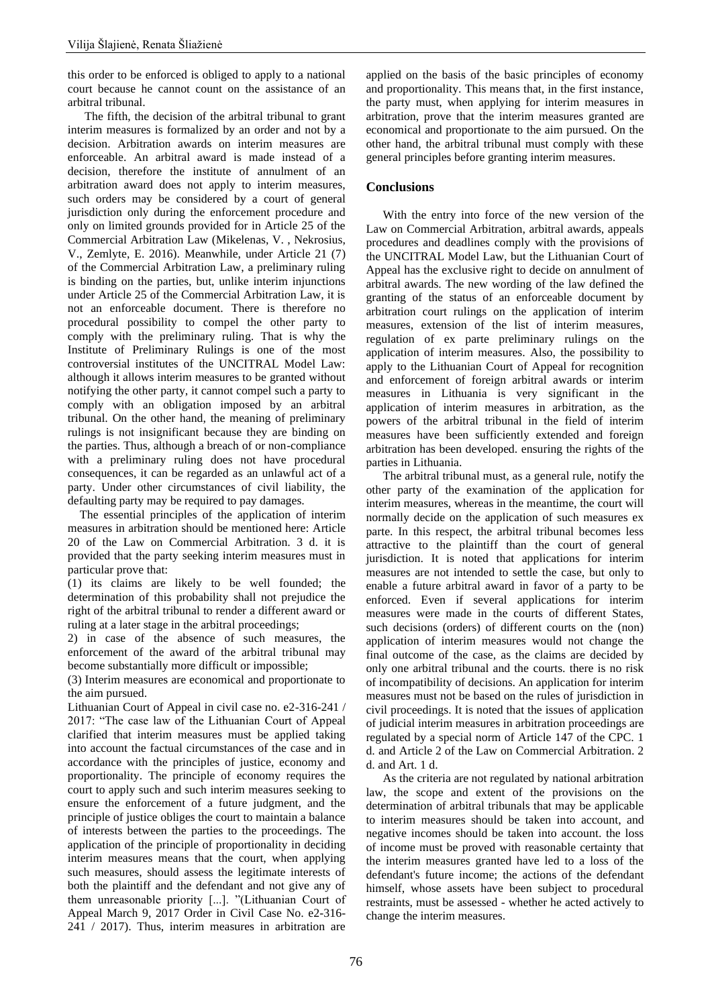this order to be enforced is obliged to apply to a national court because he cannot count on the assistance of an arbitral tribunal.

The fifth, the decision of the arbitral tribunal to grant interim measures is formalized by an order and not by a decision. Arbitration awards on interim measures are enforceable. An arbitral award is made instead of a decision, therefore the institute of annulment of an arbitration award does not apply to interim measures, such orders may be considered by a court of general jurisdiction only during the enforcement procedure and only on limited grounds provided for in Article 25 of the Commercial Arbitration Law (Mikelenas, V. , Nekrosius, V., Zemlyte, E. 2016). Meanwhile, under Article 21 (7) of the Commercial Arbitration Law, a preliminary ruling is binding on the parties, but, unlike interim injunctions under Article 25 of the Commercial Arbitration Law, it is not an enforceable document. There is therefore no procedural possibility to compel the other party to comply with the preliminary ruling. That is why the Institute of Preliminary Rulings is one of the most controversial institutes of the UNCITRAL Model Law: although it allows interim measures to be granted without notifying the other party, it cannot compel such a party to comply with an obligation imposed by an arbitral tribunal. On the other hand, the meaning of preliminary rulings is not insignificant because they are binding on the parties. Thus, although a breach of or non-compliance with a preliminary ruling does not have procedural consequences, it can be regarded as an unlawful act of a party. Under other circumstances of civil liability, the defaulting party may be required to pay damages.

 The essential principles of the application of interim measures in arbitration should be mentioned here: Article 20 of the Law on Commercial Arbitration. 3 d. it is provided that the party seeking interim measures must in particular prove that:

(1) its claims are likely to be well founded; the determination of this probability shall not prejudice the right of the arbitral tribunal to render a different award or ruling at a later stage in the arbitral proceedings;

2) in case of the absence of such measures, the enforcement of the award of the arbitral tribunal may become substantially more difficult or impossible;

(3) Interim measures are economical and proportionate to the aim pursued.

Lithuanian Court of Appeal in civil case no. e2-316-241 / 2017: "The case law of the Lithuanian Court of Appeal clarified that interim measures must be applied taking into account the factual circumstances of the case and in accordance with the principles of justice, economy and proportionality. The principle of economy requires the court to apply such and such interim measures seeking to ensure the enforcement of a future judgment, and the principle of justice obliges the court to maintain a balance of interests between the parties to the proceedings. The application of the principle of proportionality in deciding interim measures means that the court, when applying such measures, should assess the legitimate interests of both the plaintiff and the defendant and not give any of them unreasonable priority [...]. "(Lithuanian Court of Appeal March 9, 2017 Order in Civil Case No. e2-316- 241 / 2017). Thus, interim measures in arbitration are

applied on the basis of the basic principles of economy and proportionality. This means that, in the first instance, the party must, when applying for interim measures in arbitration, prove that the interim measures granted are economical and proportionate to the aim pursued. On the other hand, the arbitral tribunal must comply with these general principles before granting interim measures.

### **Conclusions**

With the entry into force of the new version of the Law on Commercial Arbitration, arbitral awards, appeals procedures and deadlines comply with the provisions of the UNCITRAL Model Law, but the Lithuanian Court of Appeal has the exclusive right to decide on annulment of arbitral awards. The new wording of the law defined the granting of the status of an enforceable document by arbitration court rulings on the application of interim measures, extension of the list of interim measures, regulation of ex parte preliminary rulings on the application of interim measures. Also, the possibility to apply to the Lithuanian Court of Appeal for recognition and enforcement of foreign arbitral awards or interim measures in Lithuania is very significant in the application of interim measures in arbitration, as the powers of the arbitral tribunal in the field of interim measures have been sufficiently extended and foreign arbitration has been developed. ensuring the rights of the parties in Lithuania.

The arbitral tribunal must, as a general rule, notify the other party of the examination of the application for interim measures, whereas in the meantime, the court will normally decide on the application of such measures ex parte. In this respect, the arbitral tribunal becomes less attractive to the plaintiff than the court of general jurisdiction. It is noted that applications for interim measures are not intended to settle the case, but only to enable a future arbitral award in favor of a party to be enforced. Even if several applications for interim measures were made in the courts of different States, such decisions (orders) of different courts on the (non) application of interim measures would not change the final outcome of the case, as the claims are decided by only one arbitral tribunal and the courts. there is no risk of incompatibility of decisions. An application for interim measures must not be based on the rules of jurisdiction in civil proceedings. It is noted that the issues of application of judicial interim measures in arbitration proceedings are regulated by a special norm of Article 147 of the CPC. 1 d. and Article 2 of the Law on Commercial Arbitration. 2 d. and Art. 1 d.

As the criteria are not regulated by national arbitration law, the scope and extent of the provisions on the determination of arbitral tribunals that may be applicable to interim measures should be taken into account, and negative incomes should be taken into account. the loss of income must be proved with reasonable certainty that the interim measures granted have led to a loss of the defendant's future income; the actions of the defendant himself, whose assets have been subject to procedural restraints, must be assessed - whether he acted actively to change the interim measures.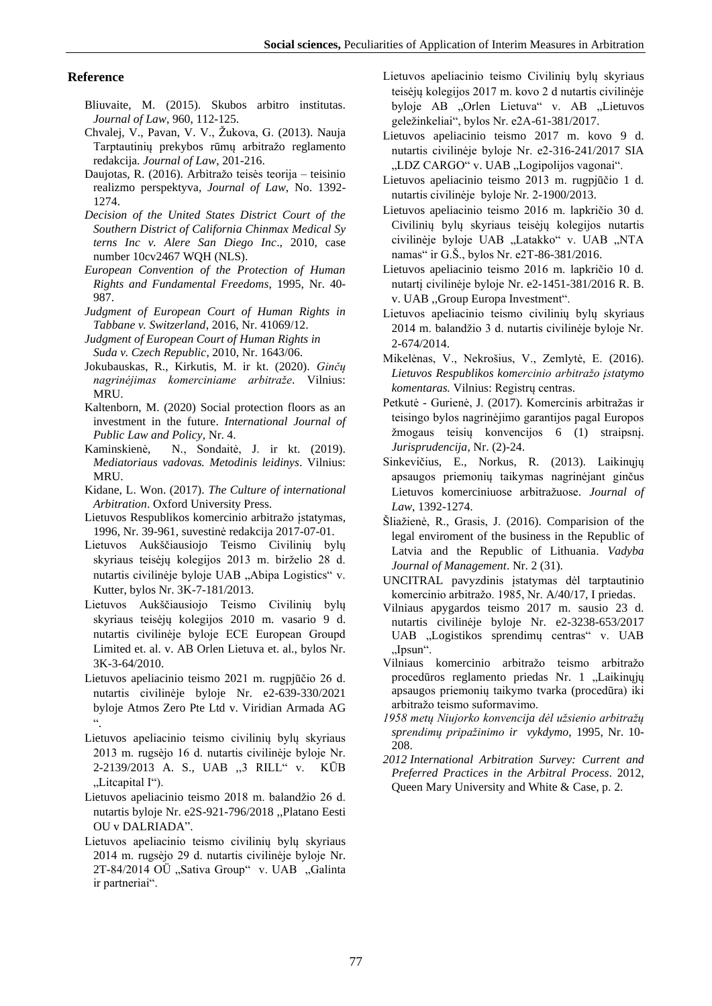#### **Reference**

- Bliuvaite, M. (2015). Skubos arbitro institutas. *Journal of Law*, 960, 112-125.
- Chvalej, V., Pavan, V. V., Žukova, G. (2013). Nauja Tarptautinių prekybos rūmų arbitražo reglamento redakcija*. Journal of Law*, 201-216.
- Daujotas, R. (2016). Arbitražo teisės teorija teisinio realizmo perspektyva*, Journal of Law*, No. 1392- 1274.
- *Decision of the United States District Court of the Southern District of California Chinmax Medical Sy terns Inc v. Alere San Diego Inc*., 2010, case number 10cv2467 WQH (NLS).
- *European Convention of the Protection of Human Rights and Fundamental Freedoms*, 1995, Nr. 40- 987.
- *Judgment of European Court of Human Rights in Tabbane v. Switzerland*, 2016, Nr. 41069/12.
- *Judgment of European Court of Human Rights in Suda v. Czech Republic*, 2010, Nr. 1643/06.
- Jokubauskas, R., Kirkutis, M. ir kt. (2020). *Ginčų nagrinėjimas komerciniame arbitraže*. Vilnius: MRU.
- Kaltenborn, M. (2020) Social protection floors as an investment in the future. *International Journal of Public Law and Policy,* Nr. 4.
- Kaminskienė, N., Sondaitė, J. ir kt. (2019). *Mediatoriaus vadovas. Metodinis leidinys*. Vilnius: MRU.
- Kidane, L. Won. (2017). *The Culture of international Arbitration*. Oxford University Press.
- Lietuvos Respublikos komercinio arbitražo įstatymas, 1996, Nr. 39-961, suvestinė redakcija 2017-07-01.
- Lietuvos Aukščiausiojo Teismo Civilinių bylų skyriaus teisėjų kolegijos 2013 m. birželio 28 d. nutartis civilinėje byloje UAB "Abipa Logistics" v. Kutter, bylos Nr. 3K-7-181/2013.
- Lietuvos Aukščiausiojo Teismo Civilinių bylų skyriaus teisėjų kolegijos 2010 m. vasario 9 d. nutartis civilinėje byloje ECE European Groupd Limited et. al. v. AB Orlen Lietuva et. al., bylos Nr. 3K-3-64/2010.
- Lietuvos apeliacinio teismo 2021 m. rugpjūčio 26 d. nutartis civilinėje byloje Nr. e2-639-330/2021 byloje Atmos Zero Pte Ltd v. Viridian Armada AG ".
- Lietuvos apeliacinio teismo civilinių bylų skyriaus 2013 m. rugsėjo 16 d. nutartis civilinėje byloje Nr. 2-2139/2013 A. S., UAB ,,3 RILL" v. KŪB "Litcapital I").
- Lietuvos apeliacinio teismo 2018 m. balandžio 26 d. nutartis byloje Nr. e2S-921-796/2018 ,,Platano Eesti OU v DALRIADA".
- Lietuvos apeliacinio teismo civilinių bylų skyriaus 2014 m. rugsėjo 29 d. nutartis civilinėje byloje Nr. 2T-84/2014 OÜ "Sativa Group" v. UAB "Galinta ir partneriai".

Lietuvos apeliacinio teismo Civilinių bylų skyriaus teisėjų kolegijos 2017 m. kovo 2 d nutartis civilinėje byloje AB "Orlen Lietuva" v. AB "Lietuvos geležinkeliai", bylos Nr. e2A-61-381/2017.

- Lietuvos apeliacinio teismo 2017 m. kovo 9 d. nutartis civilinėje byloje Nr. e2-316-241/2017 SIA "LDZ CARGO" v. UAB "Logipolijos vagonai".
- Lietuvos apeliacinio teismo 2013 m. rugpjūčio 1 d. nutartis civilinėje byloje Nr. 2-1900/2013.
- Lietuvos apeliacinio teismo 2016 m. lapkričio 30 d. Civilinių bylų skyriaus teisėjų kolegijos nutartis civilinėje byloje UAB "Latakko" v. UAB "NTA namas" ir G.Š., bylos Nr. e2T-86-381/2016.
- Lietuvos apeliacinio teismo 2016 m. lapkričio 10 d. nutartį civilinėje byloje Nr. e2-1451-381/2016 R. B. v. UAB ,,Group Europa Investment".
- Lietuvos apeliacinio teismo civilinių bylų skyriaus 2014 m. balandžio 3 d. nutartis civilinėje byloje Nr. 2-674/2014.
- Mikelėnas, V., Nekrošius, V., Zemlytė, E. (2016). *Lietuvos Respublikos komercinio arbitražo įstatymo komentaras.* Vilnius: Registrų centras.
- Petkutė Gurienė, J. (2017). Komercinis arbitražas ir teisingo bylos nagrinėjimo garantijos pagal Europos žmogaus teisių konvencijos 6 (1) straipsnį. *Jurisprudencija,* Nr. (2)-24.
- Sinkevičius, E., Norkus, R. (2013). Laikinųjų apsaugos priemonių taikymas nagrinėjant ginčus Lietuvos komerciniuose arbitražuose. *Journal of Law*, 1392-1274.
- Šliažienė, R., Grasis, J. (2016). Comparision of the legal enviroment of the business in the Republic of Latvia and the Republic of Lithuania. *Vadyba Journal of Management*. Nr. 2 (31).
- UNCITRAL pavyzdinis įstatymas dėl tarptautinio komercinio arbitražo. 1985, Nr. A/40/17, I priedas.
- Vilniaus apygardos teismo 2017 m. sausio 23 d. nutartis civilinėje byloje Nr. e2-3238-653/2017 UAB "Logistikos sprendimų centras" v. UAB "Ipsun".
- Vilniaus komercinio arbitražo teismo arbitražo procedūros reglamento priedas Nr. 1 "Laikinųjų apsaugos priemonių taikymo tvarka (procedūra) iki arbitražo teismo suformavimo.
- *1958 metų Niujorko konvencija dėl užsienio arbitražų sprendimų pripažinimo ir vykdymo*, 1995, Nr. 10- 208.
- *2012 International Arbitration Survey: Current and Preferred Practices in the Arbitral Process*. 2012, Queen Mary University and White & Case, p. 2.